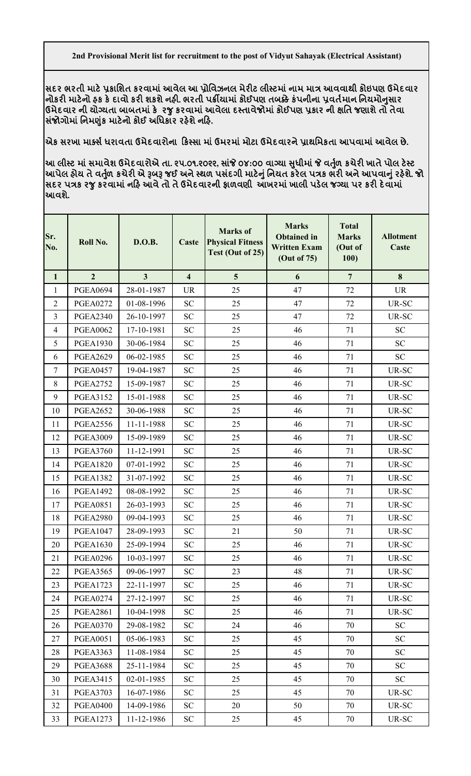**સદર ભરતી માટ°̆કાિશત કરવામાંઆવેલ આ ̆ોિવઝનલ મેરટ લીƨટમાંનામ મા́ આવવાથી કોઇપણ ઉમેદવાર નોકર માટ°નો હક ક°દાવો કર શકશેનહ. ભરતી પ˲યામાંકોઈપણ તબïેકંપનીના ̆વત½માન િનયમોȵુસાર ઉમેદવાર ની યોƊયતા બાબતમાંક° રȩુકરવામાંઆવેલા દƨતાવેજોમાંકોઈપણ ̆કાર ની ëિત જણાશેતો તેવા સ ંજોગોમાં િનમȰુંક માટ°નો કોઈ અિધકાર રહ°શેનહ.** 

**એક સરખા માƈસ½ધરાવતા ઉમેદવારોના કƨસા માંઉમરમાંમોટા ઉમેદવારને̆ાથિમકતા આપવામાંઆવેલ છે.**

આ લીસ્ટ માં સમાવેશ ઉમેદવારોએ તા. ૨૫.૦૧.૨૦૨૨, સાંજે ૦૪:૦૦ વાગ્યા સુધીમાં જે વર્તુળ કચેરી ખાતે પોલ ટેસ્ટ **આપેલ હોય તેવȱ ુ½ળ કચેર એ ĮબĮ જઈ અનેƨથળ પસ ંદગી માટ°ȵુંિનયત કર°લ પ́ક ભર અનેઆપવાȵુંરહ°શે. જો સદર પ́ક રȩુકરવામાંનહ આવેતો તેઉમેદવારની ફાળવણી આખરમાંખાલી પડ°લ જƊયા પર કર દ°વામાં આવશે.**

| Sr.<br>No.     | Roll No.        | <b>D.O.B.</b>  | Caste                   | <b>Marks</b> of<br><b>Physical Fitness</b><br>Test (Out of 25) | <b>Marks</b><br><b>Obtained in</b><br><b>Written Exam</b><br>(Out of 75) | <b>Total</b><br><b>Marks</b><br>(Out of<br>100) | <b>Allotment</b><br>Caste |
|----------------|-----------------|----------------|-------------------------|----------------------------------------------------------------|--------------------------------------------------------------------------|-------------------------------------------------|---------------------------|
| $\mathbf{1}$   | $\overline{2}$  | $\overline{3}$ | $\overline{\mathbf{4}}$ | 5                                                              | 6                                                                        | $\overline{7}$                                  | 8                         |
| $\mathbf{1}$   | <b>PGEA0694</b> | 28-01-1987     | <b>UR</b>               | 25                                                             | 47                                                                       | 72                                              | <b>UR</b>                 |
| $\overline{2}$ | <b>PGEA0272</b> | 01-08-1996     | <b>SC</b>               | 25                                                             | 47                                                                       | 72                                              | UR-SC                     |
| 3              | <b>PGEA2340</b> | 26-10-1997     | <b>SC</b>               | 25                                                             | 47                                                                       | 72                                              | UR-SC                     |
| $\overline{4}$ | <b>PGEA0062</b> | 17-10-1981     | <b>SC</b>               | 25                                                             | 46                                                                       | 71                                              | <b>SC</b>                 |
| 5              | <b>PGEA1930</b> | 30-06-1984     | <b>SC</b>               | 25                                                             | 46                                                                       | 71                                              | <b>SC</b>                 |
| 6              | <b>PGEA2629</b> | 06-02-1985     | <b>SC</b>               | 25                                                             | 46                                                                       | 71                                              | <b>SC</b>                 |
| 7              | <b>PGEA0457</b> | 19-04-1987     | <b>SC</b>               | 25                                                             | 46                                                                       | 71                                              | UR-SC                     |
| $8\,$          | <b>PGEA2752</b> | 15-09-1987     | <b>SC</b>               | 25                                                             | 46                                                                       | 71                                              | UR-SC                     |
| 9              | <b>PGEA3152</b> | 15-01-1988     | <b>SC</b>               | 25                                                             | 46                                                                       | 71                                              | UR-SC                     |
| 10             | <b>PGEA2652</b> | 30-06-1988     | <b>SC</b>               | 25                                                             | 46                                                                       | 71                                              | <b>UR-SC</b>              |
| 11             | <b>PGEA2556</b> | 11-11-1988     | <b>SC</b>               | 25                                                             | 46                                                                       | 71                                              | UR-SC                     |
| 12             | <b>PGEA3009</b> | 15-09-1989     | <b>SC</b>               | 25                                                             | 46                                                                       | 71                                              | UR-SC                     |
| 13             | <b>PGEA3760</b> | 11-12-1991     | <b>SC</b>               | 25                                                             | 46                                                                       | 71                                              | UR-SC                     |
| 14             | <b>PGEA1820</b> | 07-01-1992     | <b>SC</b>               | 25                                                             | 46                                                                       | 71                                              | UR-SC                     |
| 15             | <b>PGEA1382</b> | 31-07-1992     | <b>SC</b>               | 25                                                             | 46                                                                       | 71                                              | UR-SC                     |
| 16             | <b>PGEA1492</b> | 08-08-1992     | <b>SC</b>               | 25                                                             | 46                                                                       | 71                                              | UR-SC                     |
| 17             | <b>PGEA0851</b> | 26-03-1993     | <b>SC</b>               | 25                                                             | 46                                                                       | 71                                              | <b>UR-SC</b>              |
| 18             | <b>PGEA2980</b> | 09-04-1993     | <b>SC</b>               | 25                                                             | 46                                                                       | 71                                              | UR-SC                     |
| 19             | <b>PGEA1047</b> | 28-09-1993     | <b>SC</b>               | 21                                                             | 50                                                                       | 71                                              | UR-SC                     |
| 20             | <b>PGEA1630</b> | 25-09-1994     | <b>SC</b>               | 25                                                             | 46                                                                       | 71                                              | UR-SC                     |
| 21             | <b>PGEA0296</b> | 10-03-1997     | SC                      | 25                                                             | 46                                                                       | 71                                              | UR-SC                     |
| 22             | <b>PGEA3565</b> | 09-06-1997     | <b>SC</b>               | 23                                                             | 48                                                                       | 71                                              | UR-SC                     |
| 23             | <b>PGEA1723</b> | 22-11-1997     | SC                      | 25                                                             | 46                                                                       | 71                                              | UR-SC                     |
| 24             | <b>PGEA0274</b> | 27-12-1997     | SC                      | 25                                                             | 46                                                                       | 71                                              | UR-SC                     |
| 25             | <b>PGEA2861</b> | 10-04-1998     | <b>SC</b>               | 25                                                             | 46                                                                       | 71                                              | UR-SC                     |
| 26             | <b>PGEA0370</b> | 29-08-1982     | <b>SC</b>               | 24                                                             | 46                                                                       | 70                                              | <b>SC</b>                 |
| 27             | <b>PGEA0051</b> | 05-06-1983     | <b>SC</b>               | 25                                                             | 45                                                                       | 70                                              | <b>SC</b>                 |
| 28             | <b>PGEA3363</b> | 11-08-1984     | <b>SC</b>               | 25                                                             | 45                                                                       | 70                                              | ${\rm SC}$                |
| 29             | <b>PGEA3688</b> | 25-11-1984     | <b>SC</b>               | 25                                                             | 45                                                                       | 70                                              | <b>SC</b>                 |
| 30             | <b>PGEA3415</b> | 02-01-1985     | <b>SC</b>               | 25                                                             | 45                                                                       | 70                                              | SC                        |
| 31             | <b>PGEA3703</b> | 16-07-1986     | <b>SC</b>               | 25                                                             | 45                                                                       | 70                                              | UR-SC                     |
| 32             | <b>PGEA0400</b> | 14-09-1986     | <b>SC</b>               | 20                                                             | 50                                                                       | 70                                              | UR-SC                     |
| 33             | <b>PGEA1273</b> | 11-12-1986     | SC <sub>1</sub>         | 25                                                             | 45                                                                       | 70                                              | UR-SC                     |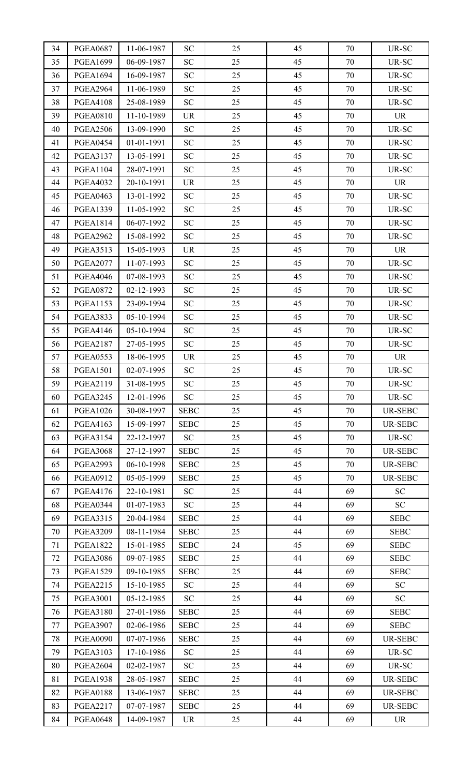| 34 | <b>PGEA0687</b> | 11-06-1987 | <b>SC</b>   | 25 | 45 | 70 | UR-SC          |
|----|-----------------|------------|-------------|----|----|----|----------------|
| 35 | <b>PGEA1699</b> | 06-09-1987 | SC          | 25 | 45 | 70 | UR-SC          |
| 36 | <b>PGEA1694</b> | 16-09-1987 | <b>SC</b>   | 25 | 45 | 70 | UR-SC          |
| 37 | <b>PGEA2964</b> | 11-06-1989 | SC          | 25 | 45 | 70 | UR-SC          |
| 38 | <b>PGEA4108</b> | 25-08-1989 | <b>SC</b>   | 25 | 45 | 70 | UR-SC          |
| 39 | <b>PGEA0810</b> | 11-10-1989 | <b>UR</b>   | 25 | 45 | 70 | <b>UR</b>      |
| 40 | <b>PGEA2506</b> | 13-09-1990 | <b>SC</b>   | 25 | 45 | 70 | UR-SC          |
| 41 | <b>PGEA0454</b> | 01-01-1991 | SC          | 25 | 45 | 70 | UR-SC          |
| 42 | <b>PGEA3137</b> | 13-05-1991 | <b>SC</b>   | 25 | 45 | 70 | UR-SC          |
| 43 | <b>PGEA1104</b> | 28-07-1991 | <b>SC</b>   | 25 | 45 | 70 | UR-SC          |
| 44 | <b>PGEA4032</b> | 20-10-1991 | <b>UR</b>   | 25 | 45 | 70 | <b>UR</b>      |
| 45 | <b>PGEA0463</b> | 13-01-1992 | SC          | 25 | 45 | 70 | UR-SC          |
| 46 | <b>PGEA1339</b> | 11-05-1992 | <b>SC</b>   | 25 | 45 | 70 | UR-SC          |
| 47 | <b>PGEA1814</b> | 06-07-1992 | SC          | 25 | 45 | 70 | UR-SC          |
| 48 | <b>PGEA2962</b> | 15-08-1992 | <b>SC</b>   | 25 | 45 | 70 | UR-SC          |
| 49 | <b>PGEA3513</b> | 15-05-1993 | <b>UR</b>   | 25 | 45 | 70 | <b>UR</b>      |
| 50 | <b>PGEA2077</b> | 11-07-1993 | <b>SC</b>   | 25 | 45 | 70 | UR-SC          |
| 51 | <b>PGEA4046</b> | 07-08-1993 | <b>SC</b>   | 25 | 45 | 70 | UR-SC          |
| 52 | <b>PGEA0872</b> | 02-12-1993 | <b>SC</b>   | 25 | 45 | 70 | UR-SC          |
| 53 | <b>PGEA1153</b> | 23-09-1994 | <b>SC</b>   | 25 | 45 | 70 | UR-SC          |
| 54 | <b>PGEA3833</b> | 05-10-1994 | <b>SC</b>   | 25 | 45 | 70 | UR-SC          |
| 55 | <b>PGEA4146</b> | 05-10-1994 | <b>SC</b>   | 25 | 45 | 70 | UR-SC          |
| 56 | <b>PGEA2187</b> | 27-05-1995 | SC          | 25 | 45 | 70 | UR-SC          |
| 57 | <b>PGEA0553</b> | 18-06-1995 | <b>UR</b>   | 25 | 45 | 70 | <b>UR</b>      |
| 58 | <b>PGEA1501</b> | 02-07-1995 | <b>SC</b>   | 25 | 45 | 70 | UR-SC          |
| 59 | <b>PGEA2119</b> | 31-08-1995 | ${\rm SC}$  | 25 | 45 | 70 | UR-SC          |
| 60 | <b>PGEA3245</b> | 12-01-1996 | <b>SC</b>   | 25 | 45 | 70 | UR-SC          |
| 61 | <b>PGEA1026</b> | 30-08-1997 | <b>SEBC</b> | 25 | 45 | 70 | <b>UR-SEBC</b> |
| 62 | <b>PGEA4163</b> | 15-09-1997 | <b>SEBC</b> | 25 | 45 | 70 | <b>UR-SEBC</b> |
| 63 | <b>PGEA3154</b> | 22-12-1997 | SC          | 25 | 45 | 70 | UR-SC          |
| 64 | <b>PGEA3068</b> | 27-12-1997 | <b>SEBC</b> | 25 | 45 | 70 | <b>UR-SEBC</b> |
| 65 | <b>PGEA2993</b> | 06-10-1998 | <b>SEBC</b> | 25 | 45 | 70 | <b>UR-SEBC</b> |
| 66 | <b>PGEA0912</b> | 05-05-1999 | <b>SEBC</b> | 25 | 45 | 70 | UR-SEBC        |
| 67 | <b>PGEA4176</b> | 22-10-1981 | SC          | 25 | 44 | 69 | <b>SC</b>      |
| 68 | <b>PGEA0344</b> | 01-07-1983 | SC          | 25 | 44 | 69 | SC             |
| 69 | <b>PGEA3315</b> | 20-04-1984 | <b>SEBC</b> | 25 | 44 | 69 | <b>SEBC</b>    |
| 70 | <b>PGEA3209</b> | 08-11-1984 | <b>SEBC</b> | 25 | 44 | 69 | <b>SEBC</b>    |
| 71 | <b>PGEA1822</b> | 15-01-1985 | <b>SEBC</b> | 24 | 45 | 69 | <b>SEBC</b>    |
| 72 | <b>PGEA3086</b> | 09-07-1985 | <b>SEBC</b> | 25 | 44 | 69 | <b>SEBC</b>    |
| 73 | <b>PGEA1529</b> | 09-10-1985 | <b>SEBC</b> | 25 | 44 | 69 | <b>SEBC</b>    |
| 74 | <b>PGEA2215</b> | 15-10-1985 | <b>SC</b>   | 25 | 44 | 69 | <b>SC</b>      |
| 75 | <b>PGEA3001</b> | 05-12-1985 | SC          | 25 | 44 | 69 | <b>SC</b>      |
| 76 | <b>PGEA3180</b> | 27-01-1986 | <b>SEBC</b> | 25 | 44 | 69 | <b>SEBC</b>    |
| 77 | <b>PGEA3907</b> | 02-06-1986 | <b>SEBC</b> | 25 | 44 | 69 | <b>SEBC</b>    |
| 78 | <b>PGEA0090</b> | 07-07-1986 | <b>SEBC</b> | 25 | 44 | 69 | <b>UR-SEBC</b> |
| 79 | <b>PGEA3103</b> | 17-10-1986 | <b>SC</b>   | 25 | 44 | 69 | UR-SC          |
| 80 | <b>PGEA2604</b> | 02-02-1987 | SC          | 25 | 44 | 69 | UR-SC          |
| 81 | <b>PGEA1938</b> | 28-05-1987 | <b>SEBC</b> | 25 | 44 | 69 | UR-SEBC        |
| 82 | <b>PGEA0188</b> | 13-06-1987 | <b>SEBC</b> | 25 | 44 | 69 | <b>UR-SEBC</b> |
| 83 | <b>PGEA2217</b> | 07-07-1987 | <b>SEBC</b> | 25 | 44 | 69 | UR-SEBC        |
| 84 | <b>PGEA0648</b> | 14-09-1987 | <b>UR</b>   | 25 | 44 | 69 | <b>UR</b>      |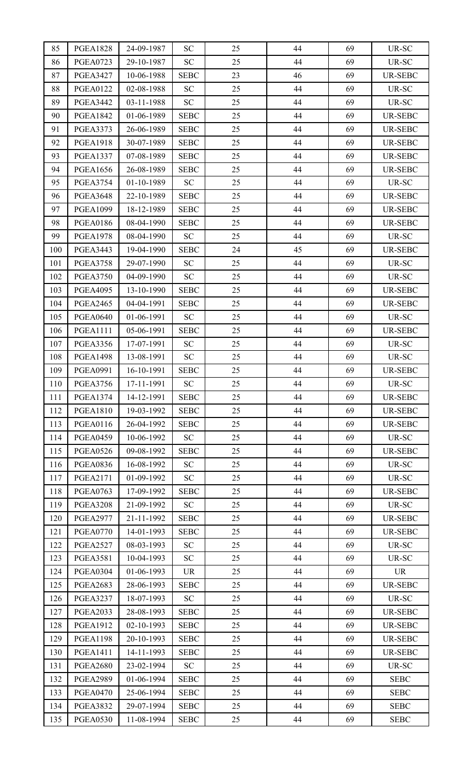| 85  | <b>PGEA1828</b> | 24-09-1987 | <b>SC</b>   | 25 | 44 | 69 | UR-SC          |
|-----|-----------------|------------|-------------|----|----|----|----------------|
| 86  | <b>PGEA0723</b> | 29-10-1987 | SC          | 25 | 44 | 69 | UR-SC          |
| 87  | <b>PGEA3427</b> | 10-06-1988 | <b>SEBC</b> | 23 | 46 | 69 | UR-SEBC        |
| 88  | <b>PGEA0122</b> | 02-08-1988 | <b>SC</b>   | 25 | 44 | 69 | UR-SC          |
| 89  | <b>PGEA3442</b> | 03-11-1988 | <b>SC</b>   | 25 | 44 | 69 | UR-SC          |
| 90  | <b>PGEA1842</b> | 01-06-1989 | <b>SEBC</b> | 25 | 44 | 69 | <b>UR-SEBC</b> |
| 91  | <b>PGEA3373</b> | 26-06-1989 | <b>SEBC</b> | 25 | 44 | 69 | <b>UR-SEBC</b> |
| 92  | <b>PGEA1918</b> | 30-07-1989 | <b>SEBC</b> | 25 | 44 | 69 | <b>UR-SEBC</b> |
| 93  | <b>PGEA1337</b> | 07-08-1989 | <b>SEBC</b> | 25 | 44 | 69 | <b>UR-SEBC</b> |
| 94  | <b>PGEA1656</b> | 26-08-1989 | <b>SEBC</b> | 25 | 44 | 69 | <b>UR-SEBC</b> |
| 95  | <b>PGEA3754</b> | 01-10-1989 | <b>SC</b>   | 25 | 44 | 69 | UR-SC          |
| 96  | <b>PGEA3648</b> | 22-10-1989 | <b>SEBC</b> | 25 | 44 | 69 | UR-SEBC        |
| 97  | <b>PGEA1099</b> | 18-12-1989 | <b>SEBC</b> | 25 | 44 | 69 | UR-SEBC        |
| 98  | <b>PGEA0186</b> | 08-04-1990 | <b>SEBC</b> | 25 | 44 | 69 | UR-SEBC        |
| 99  | <b>PGEA1978</b> | 08-04-1990 | SC          | 25 | 44 | 69 | UR-SC          |
| 100 | <b>PGEA3443</b> | 19-04-1990 | <b>SEBC</b> | 24 | 45 | 69 | UR-SEBC        |
| 101 | <b>PGEA3758</b> | 29-07-1990 | <b>SC</b>   | 25 | 44 | 69 | UR-SC          |
| 102 | <b>PGEA3750</b> | 04-09-1990 | <b>SC</b>   | 25 | 44 | 69 | UR-SC          |
| 103 | <b>PGEA4095</b> | 13-10-1990 | <b>SEBC</b> | 25 | 44 | 69 | <b>UR-SEBC</b> |
| 104 | <b>PGEA2465</b> | 04-04-1991 | <b>SEBC</b> | 25 | 44 | 69 | <b>UR-SEBC</b> |
| 105 | <b>PGEA0640</b> | 01-06-1991 | SC          | 25 | 44 | 69 | UR-SC          |
| 106 | <b>PGEA1111</b> | 05-06-1991 | <b>SEBC</b> | 25 | 44 | 69 | UR-SEBC        |
| 107 | <b>PGEA3356</b> | 17-07-1991 | SC          | 25 | 44 | 69 | UR-SC          |
| 108 | <b>PGEA1498</b> | 13-08-1991 | <b>SC</b>   | 25 | 44 | 69 | UR-SC          |
| 109 | <b>PGEA0991</b> | 16-10-1991 | <b>SEBC</b> | 25 | 44 | 69 | <b>UR-SEBC</b> |
| 110 | <b>PGEA3756</b> | 17-11-1991 | <b>SC</b>   | 25 | 44 | 69 | UR-SC          |
| 111 | <b>PGEA1374</b> | 14-12-1991 | <b>SEBC</b> | 25 | 44 | 69 | <b>UR-SEBC</b> |
| 112 | <b>PGEA1810</b> | 19-03-1992 | <b>SEBC</b> | 25 | 44 | 69 | UR-SEBC        |
| 113 | <b>PGEA0116</b> | 26-04-1992 | <b>SEBC</b> | 25 | 44 | 69 | <b>UR-SEBC</b> |
| 114 | <b>PGEA0459</b> | 10-06-1992 | SC          | 25 | 44 | 69 | UR-SC          |
| 115 | <b>PGEA0526</b> | 09-08-1992 | <b>SEBC</b> | 25 | 44 | 69 | UR-SEBC        |
| 116 | <b>PGEA0836</b> | 16-08-1992 | <b>SC</b>   | 25 | 44 | 69 | UR-SC          |
| 117 | <b>PGEA2171</b> | 01-09-1992 | SC          | 25 | 44 | 69 | UR-SC          |
| 118 | <b>PGEA0763</b> | 17-09-1992 | <b>SEBC</b> | 25 | 44 | 69 | UR-SEBC        |
| 119 | <b>PGEA3208</b> | 21-09-1992 | SC          | 25 | 44 | 69 | UR-SC          |
| 120 | <b>PGEA2977</b> | 21-11-1992 | <b>SEBC</b> | 25 | 44 | 69 | <b>UR-SEBC</b> |
| 121 | <b>PGEA0770</b> | 14-01-1993 | <b>SEBC</b> | 25 | 44 | 69 | UR-SEBC        |
| 122 | <b>PGEA2527</b> | 08-03-1993 | <b>SC</b>   | 25 | 44 | 69 | UR-SC          |
| 123 | <b>PGEA3581</b> | 10-04-1993 | <b>SC</b>   | 25 | 44 | 69 | UR-SC          |
| 124 | <b>PGEA0304</b> | 01-06-1993 | <b>UR</b>   | 25 | 44 | 69 | <b>UR</b>      |
| 125 | <b>PGEA2683</b> | 28-06-1993 | <b>SEBC</b> | 25 | 44 | 69 | <b>UR-SEBC</b> |
| 126 | <b>PGEA3237</b> | 18-07-1993 | <b>SC</b>   | 25 | 44 | 69 | UR-SC          |
| 127 | <b>PGEA2033</b> | 28-08-1993 | <b>SEBC</b> | 25 | 44 | 69 | <b>UR-SEBC</b> |
| 128 | <b>PGEA1912</b> | 02-10-1993 | <b>SEBC</b> | 25 | 44 | 69 | UR-SEBC        |
| 129 | <b>PGEA1198</b> | 20-10-1993 | <b>SEBC</b> | 25 | 44 | 69 | UR-SEBC        |
| 130 | <b>PGEA1411</b> | 14-11-1993 | <b>SEBC</b> | 25 | 44 | 69 | UR-SEBC        |
| 131 | <b>PGEA2680</b> | 23-02-1994 | <b>SC</b>   | 25 | 44 | 69 | UR-SC          |
| 132 | <b>PGEA2989</b> | 01-06-1994 | <b>SEBC</b> | 25 | 44 | 69 | <b>SEBC</b>    |
| 133 | <b>PGEA0470</b> | 25-06-1994 | <b>SEBC</b> | 25 | 44 | 69 | <b>SEBC</b>    |
| 134 | <b>PGEA3832</b> | 29-07-1994 | <b>SEBC</b> | 25 | 44 | 69 | <b>SEBC</b>    |
| 135 | <b>PGEA0530</b> | 11-08-1994 | <b>SEBC</b> | 25 | 44 | 69 | <b>SEBC</b>    |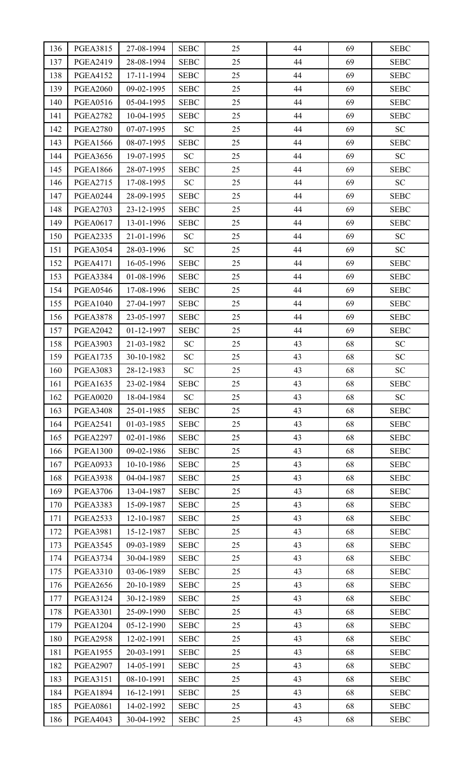| 136 | <b>PGEA3815</b> | 27-08-1994 | <b>SEBC</b> | 25 | 44 | 69 | <b>SEBC</b> |
|-----|-----------------|------------|-------------|----|----|----|-------------|
| 137 | <b>PGEA2419</b> | 28-08-1994 | <b>SEBC</b> | 25 | 44 | 69 | <b>SEBC</b> |
| 138 | <b>PGEA4152</b> | 17-11-1994 | <b>SEBC</b> | 25 | 44 | 69 | <b>SEBC</b> |
| 139 | <b>PGEA2060</b> | 09-02-1995 | <b>SEBC</b> | 25 | 44 | 69 | <b>SEBC</b> |
| 140 | <b>PGEA0516</b> | 05-04-1995 | <b>SEBC</b> | 25 | 44 | 69 | <b>SEBC</b> |
| 141 | <b>PGEA2782</b> | 10-04-1995 | <b>SEBC</b> | 25 | 44 | 69 | <b>SEBC</b> |
| 142 | <b>PGEA2780</b> | 07-07-1995 | <b>SC</b>   | 25 | 44 | 69 | SC          |
| 143 | <b>PGEA1566</b> | 08-07-1995 | <b>SEBC</b> | 25 | 44 | 69 | <b>SEBC</b> |
| 144 | <b>PGEA3656</b> | 19-07-1995 | SC          | 25 | 44 | 69 | SC          |
| 145 | <b>PGEA1866</b> | 28-07-1995 | <b>SEBC</b> | 25 | 44 | 69 | <b>SEBC</b> |
| 146 | <b>PGEA2715</b> | 17-08-1995 | SC          | 25 | 44 | 69 | SC          |
| 147 | <b>PGEA0244</b> | 28-09-1995 | <b>SEBC</b> | 25 | 44 | 69 | <b>SEBC</b> |
| 148 | <b>PGEA2703</b> | 23-12-1995 | <b>SEBC</b> | 25 | 44 | 69 | <b>SEBC</b> |
| 149 | <b>PGEA0617</b> | 13-01-1996 | <b>SEBC</b> | 25 | 44 | 69 | <b>SEBC</b> |
| 150 | <b>PGEA2335</b> | 21-01-1996 | SC          | 25 | 44 | 69 | SC          |
| 151 | <b>PGEA3054</b> | 28-03-1996 | SC          | 25 | 44 | 69 | SC          |
| 152 | <b>PGEA4171</b> | 16-05-1996 | <b>SEBC</b> | 25 | 44 | 69 | <b>SEBC</b> |
| 153 | <b>PGEA3384</b> | 01-08-1996 | <b>SEBC</b> | 25 | 44 | 69 | <b>SEBC</b> |
| 154 | <b>PGEA0546</b> | 17-08-1996 | <b>SEBC</b> | 25 | 44 | 69 | <b>SEBC</b> |
| 155 | <b>PGEA1040</b> | 27-04-1997 | <b>SEBC</b> | 25 | 44 | 69 | <b>SEBC</b> |
| 156 | <b>PGEA3878</b> | 23-05-1997 | <b>SEBC</b> | 25 | 44 | 69 | <b>SEBC</b> |
| 157 | <b>PGEA2042</b> | 01-12-1997 | <b>SEBC</b> | 25 | 44 | 69 | <b>SEBC</b> |
| 158 | <b>PGEA3903</b> | 21-03-1982 | <b>SC</b>   | 25 | 43 | 68 | <b>SC</b>   |
| 159 | <b>PGEA1735</b> | 30-10-1982 | SC          | 25 | 43 | 68 | SC          |
| 160 | <b>PGEA3083</b> | 28-12-1983 | SC          | 25 | 43 | 68 | SC          |
| 161 | <b>PGEA1635</b> | 23-02-1984 | <b>SEBC</b> | 25 | 43 | 68 | <b>SEBC</b> |
| 162 | <b>PGEA0020</b> | 18-04-1984 | <b>SC</b>   | 25 | 43 | 68 | SC          |
| 163 | <b>PGEA3408</b> | 25-01-1985 | <b>SEBC</b> | 25 | 43 | 68 | <b>SEBC</b> |
| 164 | <b>PGEA2541</b> | 01-03-1985 | <b>SEBC</b> | 25 | 43 | 68 | <b>SEBC</b> |
| 165 | <b>PGEA2297</b> | 02-01-1986 | <b>SEBC</b> | 25 | 43 | 68 | <b>SEBC</b> |
| 166 | <b>PGEA1300</b> | 09-02-1986 | <b>SEBC</b> | 25 | 43 | 68 | <b>SEBC</b> |
| 167 | <b>PGEA0933</b> | 10-10-1986 | <b>SEBC</b> | 25 | 43 | 68 | <b>SEBC</b> |
| 168 | <b>PGEA3938</b> | 04-04-1987 | <b>SEBC</b> | 25 | 43 | 68 | <b>SEBC</b> |
| 169 | <b>PGEA3706</b> | 13-04-1987 | <b>SEBC</b> | 25 | 43 | 68 | <b>SEBC</b> |
| 170 | <b>PGEA3383</b> | 15-09-1987 | <b>SEBC</b> | 25 | 43 | 68 | <b>SEBC</b> |
| 171 | <b>PGEA2533</b> | 12-10-1987 | <b>SEBC</b> | 25 | 43 | 68 | <b>SEBC</b> |
| 172 | <b>PGEA3981</b> | 15-12-1987 | <b>SEBC</b> | 25 | 43 | 68 | <b>SEBC</b> |
| 173 | <b>PGEA3545</b> | 09-03-1989 | <b>SEBC</b> | 25 | 43 | 68 | <b>SEBC</b> |
| 174 | <b>PGEA3734</b> | 30-04-1989 | <b>SEBC</b> | 25 | 43 | 68 | <b>SEBC</b> |
| 175 | <b>PGEA3310</b> | 03-06-1989 | <b>SEBC</b> | 25 | 43 | 68 | <b>SEBC</b> |
| 176 | <b>PGEA2656</b> | 20-10-1989 | <b>SEBC</b> | 25 | 43 | 68 | <b>SEBC</b> |
| 177 | <b>PGEA3124</b> | 30-12-1989 | <b>SEBC</b> | 25 | 43 | 68 | <b>SEBC</b> |
| 178 | <b>PGEA3301</b> | 25-09-1990 | <b>SEBC</b> | 25 | 43 | 68 | <b>SEBC</b> |
| 179 | <b>PGEA1204</b> | 05-12-1990 | <b>SEBC</b> | 25 | 43 | 68 | <b>SEBC</b> |
| 180 | <b>PGEA2958</b> | 12-02-1991 | <b>SEBC</b> | 25 | 43 | 68 | <b>SEBC</b> |
| 181 | <b>PGEA1955</b> | 20-03-1991 | <b>SEBC</b> | 25 | 43 | 68 | <b>SEBC</b> |
| 182 | <b>PGEA2907</b> | 14-05-1991 | <b>SEBC</b> | 25 | 43 | 68 | <b>SEBC</b> |
| 183 | <b>PGEA3151</b> | 08-10-1991 | <b>SEBC</b> | 25 | 43 | 68 | <b>SEBC</b> |
| 184 | <b>PGEA1894</b> | 16-12-1991 | <b>SEBC</b> | 25 | 43 | 68 | <b>SEBC</b> |
| 185 | <b>PGEA0861</b> | 14-02-1992 | <b>SEBC</b> | 25 | 43 | 68 | <b>SEBC</b> |
| 186 | <b>PGEA4043</b> | 30-04-1992 | <b>SEBC</b> | 25 | 43 | 68 | <b>SEBC</b> |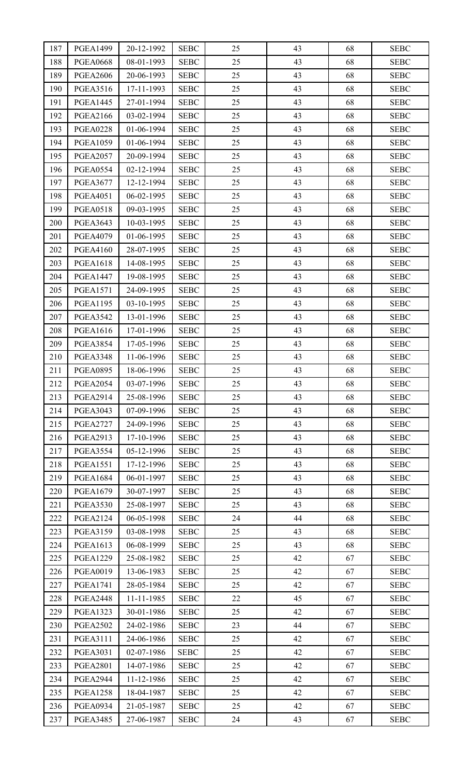| 187 | <b>PGEA1499</b> | 20-12-1992 | <b>SEBC</b> | 25 | 43 | 68 | <b>SEBC</b> |
|-----|-----------------|------------|-------------|----|----|----|-------------|
| 188 | <b>PGEA0668</b> | 08-01-1993 | <b>SEBC</b> | 25 | 43 | 68 | <b>SEBC</b> |
| 189 | <b>PGEA2606</b> | 20-06-1993 | <b>SEBC</b> | 25 | 43 | 68 | <b>SEBC</b> |
| 190 | <b>PGEA3516</b> | 17-11-1993 | <b>SEBC</b> | 25 | 43 | 68 | <b>SEBC</b> |
| 191 | <b>PGEA1445</b> | 27-01-1994 | <b>SEBC</b> | 25 | 43 | 68 | <b>SEBC</b> |
| 192 | <b>PGEA2166</b> | 03-02-1994 | <b>SEBC</b> | 25 | 43 | 68 | <b>SEBC</b> |
| 193 | <b>PGEA0228</b> | 01-06-1994 | <b>SEBC</b> | 25 | 43 | 68 | <b>SEBC</b> |
| 194 | <b>PGEA1059</b> | 01-06-1994 | <b>SEBC</b> | 25 | 43 | 68 | <b>SEBC</b> |
| 195 | <b>PGEA2057</b> | 20-09-1994 | <b>SEBC</b> | 25 | 43 | 68 | <b>SEBC</b> |
| 196 | <b>PGEA0554</b> | 02-12-1994 | <b>SEBC</b> | 25 | 43 | 68 | <b>SEBC</b> |
| 197 | <b>PGEA3677</b> | 12-12-1994 | <b>SEBC</b> | 25 | 43 | 68 | <b>SEBC</b> |
| 198 | <b>PGEA4051</b> | 06-02-1995 | <b>SEBC</b> | 25 | 43 | 68 | <b>SEBC</b> |
| 199 | <b>PGEA0518</b> | 09-03-1995 | <b>SEBC</b> | 25 | 43 | 68 | <b>SEBC</b> |
| 200 | <b>PGEA3643</b> | 10-03-1995 | <b>SEBC</b> | 25 | 43 | 68 | <b>SEBC</b> |
| 201 | <b>PGEA4079</b> | 01-06-1995 | <b>SEBC</b> | 25 | 43 | 68 | <b>SEBC</b> |
| 202 | <b>PGEA4160</b> | 28-07-1995 | <b>SEBC</b> | 25 | 43 | 68 | <b>SEBC</b> |
| 203 | <b>PGEA1618</b> | 14-08-1995 | <b>SEBC</b> | 25 | 43 | 68 | <b>SEBC</b> |
| 204 | <b>PGEA1447</b> | 19-08-1995 | <b>SEBC</b> | 25 | 43 | 68 | <b>SEBC</b> |
| 205 | <b>PGEA1571</b> | 24-09-1995 | <b>SEBC</b> | 25 | 43 | 68 | <b>SEBC</b> |
| 206 | <b>PGEA1195</b> | 03-10-1995 | <b>SEBC</b> | 25 | 43 | 68 | <b>SEBC</b> |
| 207 | <b>PGEA3542</b> | 13-01-1996 | <b>SEBC</b> | 25 | 43 | 68 | <b>SEBC</b> |
| 208 | <b>PGEA1616</b> | 17-01-1996 | <b>SEBC</b> | 25 | 43 | 68 | <b>SEBC</b> |
| 209 | <b>PGEA3854</b> | 17-05-1996 | <b>SEBC</b> | 25 | 43 | 68 | <b>SEBC</b> |
| 210 | <b>PGEA3348</b> | 11-06-1996 | <b>SEBC</b> | 25 | 43 | 68 | <b>SEBC</b> |
| 211 | <b>PGEA0895</b> | 18-06-1996 | <b>SEBC</b> | 25 | 43 | 68 | <b>SEBC</b> |
| 212 | <b>PGEA2054</b> | 03-07-1996 | <b>SEBC</b> | 25 | 43 | 68 | <b>SEBC</b> |
| 213 | <b>PGEA2914</b> | 25-08-1996 | <b>SEBC</b> | 25 | 43 | 68 | <b>SEBC</b> |
| 214 | <b>PGEA3043</b> | 07-09-1996 | <b>SEBC</b> | 25 | 43 | 68 | <b>SEBC</b> |
| 215 | <b>PGEA2727</b> | 24-09-1996 | <b>SEBC</b> | 25 | 43 | 68 | <b>SEBC</b> |
| 216 | <b>PGEA2913</b> | 17-10-1996 | <b>SEBC</b> | 25 | 43 | 68 | <b>SEBC</b> |
| 217 | <b>PGEA3554</b> | 05-12-1996 | <b>SEBC</b> | 25 | 43 | 68 | <b>SEBC</b> |
| 218 | <b>PGEA1551</b> | 17-12-1996 | <b>SEBC</b> | 25 | 43 | 68 | <b>SEBC</b> |
| 219 | <b>PGEA1684</b> | 06-01-1997 | <b>SEBC</b> | 25 | 43 | 68 | <b>SEBC</b> |
| 220 | <b>PGEA1679</b> | 30-07-1997 | <b>SEBC</b> | 25 | 43 | 68 | <b>SEBC</b> |
| 221 | <b>PGEA3530</b> | 25-08-1997 | <b>SEBC</b> | 25 | 43 | 68 | <b>SEBC</b> |
| 222 | <b>PGEA2124</b> | 06-05-1998 | <b>SEBC</b> | 24 | 44 | 68 | <b>SEBC</b> |
| 223 | <b>PGEA3159</b> | 03-08-1998 | <b>SEBC</b> | 25 | 43 | 68 | <b>SEBC</b> |
| 224 | <b>PGEA1613</b> | 06-08-1999 | <b>SEBC</b> | 25 | 43 | 68 | <b>SEBC</b> |
| 225 | <b>PGEA1229</b> | 25-08-1982 | <b>SEBC</b> | 25 | 42 | 67 | <b>SEBC</b> |
| 226 | <b>PGEA0019</b> | 13-06-1983 | <b>SEBC</b> | 25 | 42 | 67 | <b>SEBC</b> |
| 227 | <b>PGEA1741</b> | 28-05-1984 | <b>SEBC</b> | 25 | 42 | 67 | <b>SEBC</b> |
| 228 | <b>PGEA2448</b> | 11-11-1985 | <b>SEBC</b> | 22 | 45 | 67 | <b>SEBC</b> |
| 229 | <b>PGEA1323</b> | 30-01-1986 | <b>SEBC</b> | 25 | 42 | 67 | <b>SEBC</b> |
| 230 | <b>PGEA2502</b> | 24-02-1986 | <b>SEBC</b> | 23 | 44 | 67 | <b>SEBC</b> |
| 231 | <b>PGEA3111</b> | 24-06-1986 | <b>SEBC</b> | 25 | 42 | 67 | <b>SEBC</b> |
| 232 | <b>PGEA3031</b> | 02-07-1986 | <b>SEBC</b> | 25 | 42 | 67 | <b>SEBC</b> |
| 233 | <b>PGEA2801</b> | 14-07-1986 | <b>SEBC</b> | 25 | 42 | 67 | <b>SEBC</b> |
| 234 | <b>PGEA2944</b> | 11-12-1986 | <b>SEBC</b> | 25 | 42 | 67 | <b>SEBC</b> |
| 235 | <b>PGEA1258</b> | 18-04-1987 | <b>SEBC</b> | 25 | 42 | 67 | <b>SEBC</b> |
| 236 | <b>PGEA0934</b> | 21-05-1987 | <b>SEBC</b> | 25 | 42 | 67 | <b>SEBC</b> |
| 237 | <b>PGEA3485</b> | 27-06-1987 | <b>SEBC</b> | 24 | 43 | 67 | <b>SEBC</b> |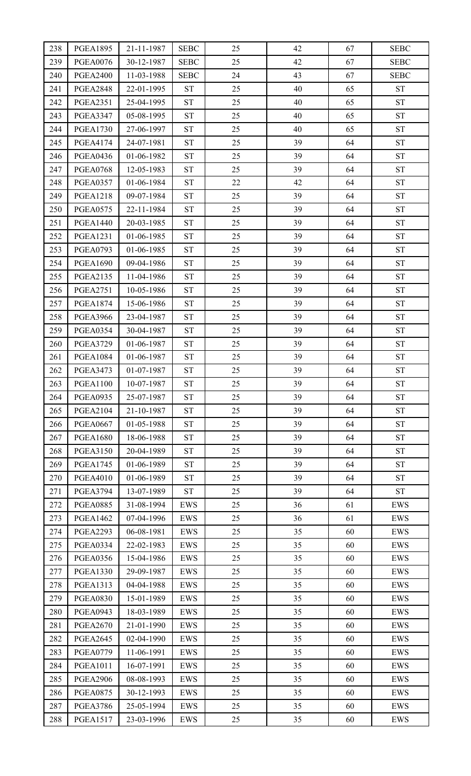| 238        | <b>PGEA1895</b> | 21-11-1987 | <b>SEBC</b>        | 25       | 42       | 67 | <b>SEBC</b>        |
|------------|-----------------|------------|--------------------|----------|----------|----|--------------------|
| 239        | <b>PGEA0076</b> | 30-12-1987 | <b>SEBC</b>        | 25       | 42       | 67 | <b>SEBC</b>        |
| 240        | <b>PGEA2400</b> | 11-03-1988 | <b>SEBC</b>        | 24       | 43       | 67 | <b>SEBC</b>        |
| 241        | <b>PGEA2848</b> | 22-01-1995 | <b>ST</b>          | 25       | 40       | 65 | ${\cal S}{\cal T}$ |
| 242        | <b>PGEA2351</b> | 25-04-1995 | ST                 | 25       | 40       | 65 | ${\cal S}{\cal T}$ |
| 243        | <b>PGEA3347</b> | 05-08-1995 | <b>ST</b>          | 25       | 40       | 65 | ${\cal S}{\cal T}$ |
| 244        | <b>PGEA1730</b> | 27-06-1997 | ST                 | 25       | 40       | 65 | ${\cal S}{\cal T}$ |
| 245        | <b>PGEA4174</b> | 24-07-1981 | <b>ST</b>          | 25       | 39       | 64 | ${\cal S}{\cal T}$ |
| 246        | <b>PGEA0436</b> | 01-06-1982 | <b>ST</b>          | 25       | 39       | 64 | <b>ST</b>          |
| 247        | <b>PGEA0768</b> | 12-05-1983 | ST                 | 25       | 39       | 64 | ${\cal S}{\cal T}$ |
| 248        | <b>PGEA0357</b> | 01-06-1984 | ${\cal S}{\cal T}$ | 22       | 42       | 64 | ${\cal S}{\cal T}$ |
| 249        | <b>PGEA1218</b> | 09-07-1984 | ST                 | 25       | 39       | 64 | ${\cal S}{\cal T}$ |
| 250        | <b>PGEA0575</b> | 22-11-1984 | <b>ST</b>          | 25       | 39       | 64 | ${\cal S}{\cal T}$ |
| 251        | <b>PGEA1440</b> | 20-03-1985 | ST                 | 25       | 39       | 64 | ${\cal S}{\cal T}$ |
| 252        | <b>PGEA1231</b> | 01-06-1985 | <b>ST</b>          | 25       | 39       | 64 | ${\cal S}{\cal T}$ |
| 253        | <b>PGEA0793</b> | 01-06-1985 | <b>ST</b>          | 25       | 39       | 64 | ${\cal S}{\cal T}$ |
| 254        | <b>PGEA1690</b> | 09-04-1986 | ST                 | 25       | 39       | 64 | <b>ST</b>          |
| 255        | <b>PGEA2135</b> | 11-04-1986 | <b>ST</b>          | 25       | 39       | 64 | ${\cal S}{\cal T}$ |
| 256        | <b>PGEA2751</b> | 10-05-1986 | <b>ST</b>          | 25       | 39       | 64 | ${\cal S}{\cal T}$ |
| 257        | <b>PGEA1874</b> | 15-06-1986 | ${\cal S}{\cal T}$ | 25       | 39       | 64 | ${\cal S}{\cal T}$ |
| 258        | <b>PGEA3966</b> | 23-04-1987 | ST                 | 25       | 39       | 64 | ${\cal S}{\cal T}$ |
| 259        | <b>PGEA0354</b> | 30-04-1987 | <b>ST</b>          | 25       | 39       | 64 | ${\cal S}{\cal T}$ |
| 260        | <b>PGEA3729</b> | 01-06-1987 | ST                 | 25       | 39       | 64 | ${\cal S}{\cal T}$ |
| 261        | <b>PGEA1084</b> | 01-06-1987 | <b>ST</b>          | 25       | 39       | 64 | ${\cal S}{\cal T}$ |
| 262        | <b>PGEA3473</b> | 01-07-1987 | ST                 | 25       | 39       | 64 | ${\cal S}{\cal T}$ |
| 263        | <b>PGEA1100</b> | 10-07-1987 | ST                 | 25       | 39       | 64 | ${\cal S}{\cal T}$ |
| 264        | <b>PGEA0935</b> | 25-07-1987 | <b>ST</b>          | 25       | 39       | 64 | <b>ST</b>          |
| 265        | <b>PGEA2104</b> | 21-10-1987 | ST                 | 25       | 39       | 64 | ${\cal S}{\cal T}$ |
| 266        | <b>PGEA0667</b> | 01-05-1988 | <b>ST</b>          | 25       | 39       | 64 | ${\cal S}{\cal T}$ |
| 267        | <b>PGEA1680</b> | 18-06-1988 | ST                 | 25       | 39       | 64 | ${\cal S}{\cal T}$ |
| 268        | <b>PGEA3150</b> | 20-04-1989 | ST                 | 25       | 39       | 64 | ${\cal S}{\cal T}$ |
| 269        | <b>PGEA1745</b> | 01-06-1989 | <b>ST</b>          | 25       | 39       | 64 | <b>ST</b>          |
| 270        | <b>PGEA4010</b> | 01-06-1989 | <b>ST</b>          | 25       | 39       | 64 | ${\cal S}{\cal T}$ |
| 271        | <b>PGEA3794</b> | 13-07-1989 | ST                 | 25       | 39       | 64 | ${\cal S}{\cal T}$ |
| 272        | <b>PGEA0885</b> | 31-08-1994 | EWS                | 25       | 36       | 61 | EWS                |
| 273        | <b>PGEA1462</b> | 07-04-1996 | <b>EWS</b>         | 25       | 36       | 61 | EWS                |
| 274        | <b>PGEA2293</b> | 06-08-1981 | EWS                | 25       | 35       | 60 | EWS                |
| 275        | <b>PGEA0334</b> | 22-02-1983 | EWS                | 25       | 35       | 60 | EWS                |
| 276        | <b>PGEA0356</b> | 15-04-1986 | EWS                | 25       | 35       | 60 | EWS                |
| 277        | <b>PGEA1330</b> | 29-09-1987 | EWS                | 25       | 35       | 60 | EWS                |
| 278        | <b>PGEA1313</b> | 04-04-1988 | EWS                | 25       | 35       | 60 | EWS                |
| 279        | <b>PGEA0830</b> | 15-01-1989 | EWS                | 25       | 35       | 60 | EWS                |
| 280        | <b>PGEA0943</b> | 18-03-1989 | EWS                | 25       | 35       | 60 | EWS                |
| 281        | <b>PGEA2670</b> | 21-01-1990 | EWS                | 25       | 35       | 60 | EWS                |
| 282        | <b>PGEA2645</b> | 02-04-1990 | EWS                | 25       | 35       | 60 | EWS                |
| 283        | <b>PGEA0779</b> | 11-06-1991 | EWS                | 25       | 35       | 60 | EWS                |
| 284        | <b>PGEA1011</b> | 16-07-1991 | EWS                | 25       | 35       | 60 | EWS                |
| 285        | <b>PGEA2906</b> | 08-08-1993 | EWS                | 25<br>25 | 35<br>35 | 60 | EWS                |
| 286<br>287 | <b>PGEA0875</b> | 30-12-1993 | EWS                | 25       | 35       | 60 | EWS                |
|            | <b>PGEA3786</b> | 25-05-1994 | EWS                |          |          | 60 | EWS                |
| 288        | <b>PGEA1517</b> | 23-03-1996 | EWS                | 25       | 35       | 60 | EWS                |